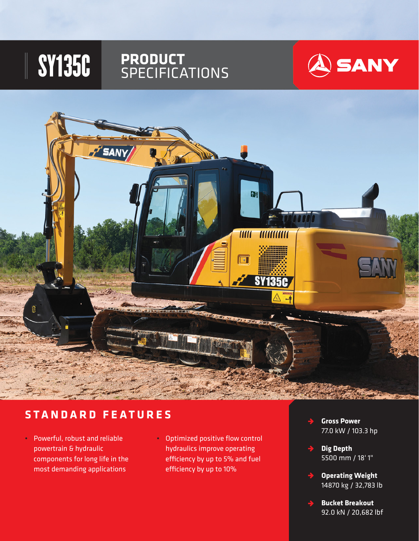# SY135C **PRODUCT** SPECIFICATIONS





### **STANDARD FEATURES**

- Powerful, robust and reliable powertrain & hydraulic components for long life in the most demanding applications
- Optimized positive flow control hydraulics improve operating efficiency by up to 5% and fuel efficiency by up to 10%
- **Gross Power**   $\rightarrow$ 77.0 kW / 103.3 hp
- **Dig Depth**  $\rightarrow$ 5500 mm / 18' 1"
- **Operating Weight**  $\rightarrow$ 14870 kg / 32,783 lb
	- **Bucket Breakout** 92.0 kN / 20,682 lbf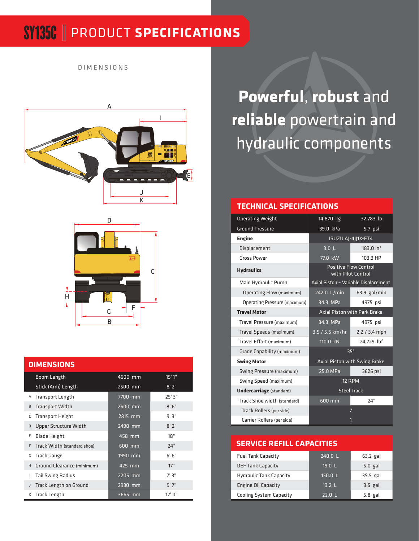### SY135C PRODUCT **SPECIFICATIONS**

DIMENSIONS





#### **DIMENSIONS**

|   | Boom Length                   | 4600 mm   | 15'1''  |
|---|-------------------------------|-----------|---------|
|   | Stick (Arm) Length            | 2500 mm   | 8'2"    |
| Α | <b>Transport Length</b>       | 7700 mm   | 25'3"   |
| B | <b>Transport Width</b>        | 2600 mm   | 8'6''   |
| c | <b>Transport Height</b>       | 2815 mm   | 9'3"    |
| D | Upper Structure Width         | $2490$ mm | 8'2''   |
| E | <b>Blade Height</b>           | 458 mm    | 18"     |
| F | Track Width (standard shoe)   | 600 mm    | 24"     |
| G | <b>Track Gauge</b>            | $1990$ mm | 6'6''   |
| H | Ground Clearance (minimum)    | 425 mm    | 17"     |
| L | <b>Tail Swing Radius</b>      | 2205 mm   | $7'$ 3" |
| J | <b>Track Length on Ground</b> | 2930 mm   | 9'7''   |
| К | Track Length                  | 3665 mm   | 12' 0"  |

**Powerful**, **robust** and **reliable** powertrain and hydraulic components

#### **TECHNICAL SPECIFICATIONS**

| <b>Operating Weight</b>         | 14,870 kg                                          | 32,783 lb             |  |
|---------------------------------|----------------------------------------------------|-----------------------|--|
| <b>Ground Pressure</b>          | 39.0 kPa                                           | 5.7 psi               |  |
| <b>Engine</b>                   | ISUZU AJ-4JJ1X-FT4                                 |                       |  |
| Displacement                    | 3.0 <sub>L</sub>                                   | 183.0 in <sup>3</sup> |  |
| <b>Gross Power</b>              | 77.0 kW                                            | 103.3 HP              |  |
| <b>Hydraulics</b>               | <b>Positive Flow Control</b><br>with Pilot Control |                       |  |
| Main Hydraulic Pump             | Axial Piston - Variable Displacement               |                       |  |
| Operating Flow (maximum)        | 242.0 L/min                                        | $63.9$ gal/min        |  |
| Operating Pressure (maximum)    | 34.3 MPa                                           | 4975 psi              |  |
| <b>Travel Motor</b>             | <b>Axial Piston with Park Brake</b>                |                       |  |
| Travel Pressure (maximum)       | 34.3 MPa                                           | 4975 psi              |  |
| Travel Speeds (maximum)         | $3.5 / 5.5$ km/hr                                  | $2.2 / 3.4$ mph       |  |
| Travel Effort (maximum)         | 110.0 kN                                           | 24,729 lbf            |  |
| Grade Capability (maximum)      | $35^\circ$                                         |                       |  |
| <b>Swing Motor</b>              | Axial Piston with Swing Brake                      |                       |  |
| Swing Pressure (maximum)        | 25.0 MPa                                           | 3626 psi              |  |
| Swing Speed (maximum)           | 12 RPM                                             |                       |  |
| <b>Undercarriage</b> (standard) | <b>Steel Track</b>                                 |                       |  |
| Track Shoe width (standard)     | 600 mm                                             | 24"                   |  |
| Track Rollers (per side)        |                                                    | 7                     |  |
| Carrier Rollers (per side)      |                                                    | 1                     |  |

#### **SERVICE REFILL CAPACITIES**

| <b>Fuel Tank Capacity</b>      | 240.0 L  | $63.2$ gal |
|--------------------------------|----------|------------|
| <b>DEF Tank Capacity</b>       | 19.0 L   | $5.0$ gal  |
| <b>Hydraulic Tank Capacity</b> | 150.0 L  | 39.5 gal   |
| <b>Engine Oil Capacity</b>     | 13.2 L   | $3.5$ gal  |
| <b>Cooling System Capacity</b> | $22.0$ L | $5.8$ gal  |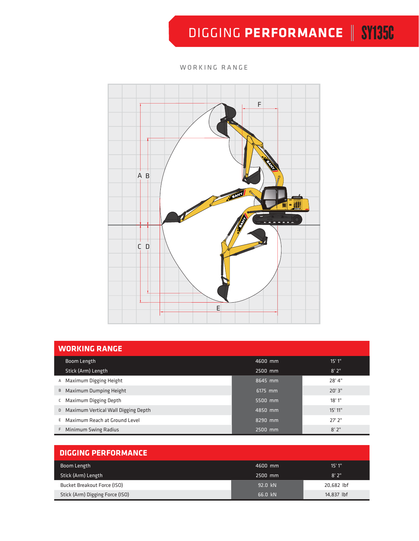# DIGGING PERFORMANCE | SY135C

### WORKING RANGE



| <b>WORKING RANGE</b>                  |         |         |  |  |  |
|---------------------------------------|---------|---------|--|--|--|
| Boom Length                           | 4600 mm | 15'1"   |  |  |  |
| Stick (Arm) Length                    | 2500 mm | 8'2"    |  |  |  |
| A Maximum Digging Height              | 8645 mm | 28'4"   |  |  |  |
| B Maximum Dumping Height              | 6175 mm | 20'3"   |  |  |  |
| C Maximum Digging Depth               | 5500 mm | 18'1"   |  |  |  |
| D Maximum Vertical Wall Digging Depth | 4850 mm | 15' 11" |  |  |  |
| E Maximum Reach at Ground Level       | 8290 mm | 27' 2"  |  |  |  |
| F Minimum Swing Radius                | 2500 mm | 8'2"    |  |  |  |

| <b>DIGGING PERFORMANCE</b>      |         |            |  |  |  |
|---------------------------------|---------|------------|--|--|--|
| Boom Length<br>4600 mm          |         | 15'1''     |  |  |  |
| Stick (Arm) Length              | 2500 mm | 8'2''      |  |  |  |
| Bucket Breakout Force (ISO)     | 92.0 kN | 20.682 lbf |  |  |  |
| Stick (Arm) Digging Force (ISO) | 66.0 kN | 14,837 lbf |  |  |  |